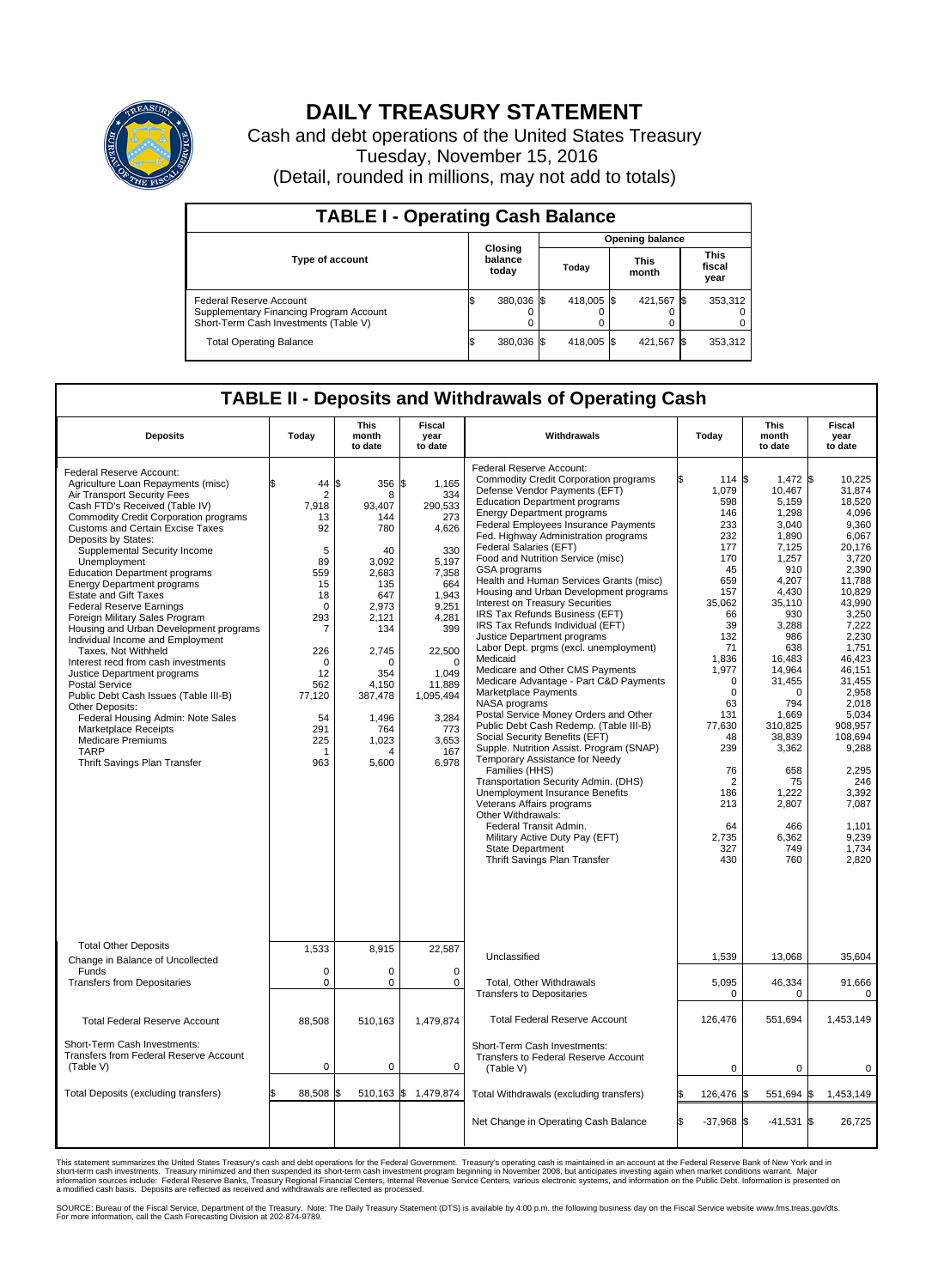

## **DAILY TREASURY STATEMENT**

Cash and debt operations of the United States Treasury Tuesday, November 15, 2016 (Detail, rounded in millions, may not add to totals)

| <b>TABLE I - Operating Cash Balance</b>                                                                     |     |                             |  |                        |  |                      |  |                               |  |  |  |
|-------------------------------------------------------------------------------------------------------------|-----|-----------------------------|--|------------------------|--|----------------------|--|-------------------------------|--|--|--|
|                                                                                                             |     | Closing<br>balance<br>today |  | <b>Opening balance</b> |  |                      |  |                               |  |  |  |
| Type of account                                                                                             |     |                             |  | Today                  |  | <b>This</b><br>month |  | <b>This</b><br>fiscal<br>year |  |  |  |
| Federal Reserve Account<br>Supplementary Financing Program Account<br>Short-Term Cash Investments (Table V) |     | 380,036 \$                  |  | 418,005 \$             |  | 421,567 \$           |  | 353,312                       |  |  |  |
| <b>Total Operating Balance</b>                                                                              | I\$ | 380,036 \$                  |  | 418,005 \$             |  | 421,567 \$           |  | 353,312                       |  |  |  |

## **TABLE II - Deposits and Withdrawals of Operating Cash**

| <b>Deposits</b>                                                                                                                                                                                                                                                                                                                                                                                                                                                                                                                                                                                                                                                                                                                                                                                                                                                                                    | Today                                                                                                                                                                         | <b>This</b><br>month<br>to date                                                                                                                                                  | <b>Fiscal</b><br>year<br>to date                                                                                                                                                                               | Withdrawals                                                                                                                                                                                                                                                                                                                                                                                                                                                                                                                                                                                                                                                                                                                                                                                                                                                                                                                                                                                                                                                                                                                                                                                                                                     | Today                                                                                                                                                                                                                                                                   | <b>This</b><br>month<br>to date                                                                                                                                                                                                                                                                | Fiscal<br>year<br>to date                                                                                                                                                                                                                                                                                         |
|----------------------------------------------------------------------------------------------------------------------------------------------------------------------------------------------------------------------------------------------------------------------------------------------------------------------------------------------------------------------------------------------------------------------------------------------------------------------------------------------------------------------------------------------------------------------------------------------------------------------------------------------------------------------------------------------------------------------------------------------------------------------------------------------------------------------------------------------------------------------------------------------------|-------------------------------------------------------------------------------------------------------------------------------------------------------------------------------|----------------------------------------------------------------------------------------------------------------------------------------------------------------------------------|----------------------------------------------------------------------------------------------------------------------------------------------------------------------------------------------------------------|-------------------------------------------------------------------------------------------------------------------------------------------------------------------------------------------------------------------------------------------------------------------------------------------------------------------------------------------------------------------------------------------------------------------------------------------------------------------------------------------------------------------------------------------------------------------------------------------------------------------------------------------------------------------------------------------------------------------------------------------------------------------------------------------------------------------------------------------------------------------------------------------------------------------------------------------------------------------------------------------------------------------------------------------------------------------------------------------------------------------------------------------------------------------------------------------------------------------------------------------------|-------------------------------------------------------------------------------------------------------------------------------------------------------------------------------------------------------------------------------------------------------------------------|------------------------------------------------------------------------------------------------------------------------------------------------------------------------------------------------------------------------------------------------------------------------------------------------|-------------------------------------------------------------------------------------------------------------------------------------------------------------------------------------------------------------------------------------------------------------------------------------------------------------------|
| Federal Reserve Account:<br>Agriculture Loan Repayments (misc)<br>Air Transport Security Fees<br>Cash FTD's Received (Table IV)<br><b>Commodity Credit Corporation programs</b><br><b>Customs and Certain Excise Taxes</b><br>Deposits by States:<br>Supplemental Security Income<br>Unemployment<br><b>Education Department programs</b><br><b>Energy Department programs</b><br><b>Estate and Gift Taxes</b><br><b>Federal Reserve Earnings</b><br>Foreign Military Sales Program<br>Housing and Urban Development programs<br>Individual Income and Employment<br>Taxes, Not Withheld<br>Interest recd from cash investments<br>Justice Department programs<br><b>Postal Service</b><br>Public Debt Cash Issues (Table III-B)<br>Other Deposits:<br>Federal Housing Admin: Note Sales<br><b>Marketplace Receipts</b><br><b>Medicare Premiums</b><br><b>TARP</b><br>Thrift Savings Plan Transfer | 44<br>$\overline{2}$<br>7,918<br>13<br>92<br>5<br>89<br>559<br>15<br>18<br>$\mathbf 0$<br>293<br>7<br>226<br>$\Omega$<br>12<br>562<br>77,120<br>54<br>291<br>225<br>-1<br>963 | \$<br>356<br>8<br>93.407<br>144<br>780<br>40<br>3,092<br>2,683<br>135<br>647<br>2,973<br>2,121<br>134<br>2,745<br>O<br>354<br>4.150<br>387,478<br>1,496<br>764<br>1,023<br>5,600 | \$<br>1,165<br>334<br>290,533<br>273<br>4,626<br>330<br>5,197<br>7,358<br>664<br>1.943<br>9,251<br>4,281<br>399<br>22,500<br>$\Omega$<br>1,049<br>11,889<br>1,095,494<br>3,284<br>773<br>3.653<br>167<br>6,978 | Federal Reserve Account:<br><b>Commodity Credit Corporation programs</b><br>Defense Vendor Payments (EFT)<br><b>Education Department programs</b><br><b>Energy Department programs</b><br><b>Federal Employees Insurance Payments</b><br>Fed. Highway Administration programs<br>Federal Salaries (EFT)<br>Food and Nutrition Service (misc)<br>GSA programs<br>Health and Human Services Grants (misc)<br>Housing and Urban Development programs<br>Interest on Treasury Securities<br>IRS Tax Refunds Business (EFT)<br>IRS Tax Refunds Individual (EFT)<br>Justice Department programs<br>Labor Dept. prgms (excl. unemployment)<br>Medicaid<br>Medicare and Other CMS Payments<br>Medicare Advantage - Part C&D Payments<br>Marketplace Payments<br>NASA programs<br>Postal Service Money Orders and Other<br>Public Debt Cash Redemp. (Table III-B)<br>Social Security Benefits (EFT)<br>Supple. Nutrition Assist. Program (SNAP)<br>Temporary Assistance for Needy<br>Families (HHS)<br>Transportation Security Admin. (DHS)<br>Unemployment Insurance Benefits<br>Veterans Affairs programs<br>Other Withdrawals:<br>Federal Transit Admin.<br>Military Active Duty Pay (EFT)<br><b>State Department</b><br>Thrift Savings Plan Transfer | 114 \$<br>1,079<br>598<br>146<br>233<br>232<br>177<br>170<br>45<br>659<br>157<br>35.062<br>66<br>39<br>132<br>71<br>1,836<br>1,977<br>$\mathbf 0$<br>$\mathbf 0$<br>63<br>131<br>77,630<br>48<br>239<br>76<br>$\overline{2}$<br>186<br>213<br>64<br>2,735<br>327<br>430 | 1,472 \$<br>10,467<br>5,159<br>1,298<br>3.040<br>1,890<br>7,125<br>1,257<br>910<br>4,207<br>4,430<br>35,110<br>930<br>3,288<br>986<br>638<br>16,483<br>14,964<br>31,455<br>$\Omega$<br>794<br>1,669<br>310,825<br>38,839<br>3,362<br>658<br>75<br>1,222<br>2,807<br>466<br>6,362<br>749<br>760 | 10.225<br>31,874<br>18,520<br>4,096<br>9,360<br>6,067<br>20.176<br>3,720<br>2.390<br>11,788<br>10,829<br>43.990<br>3,250<br>7,222<br>2,230<br>1,751<br>46,423<br>46,151<br>31.455<br>2,958<br>2.018<br>5,034<br>908,957<br>108,694<br>9,288<br>2,295<br>246<br>3,392<br>7,087<br>1.101<br>9,239<br>1,734<br>2,820 |
| <b>Total Other Deposits</b><br>Change in Balance of Uncollected                                                                                                                                                                                                                                                                                                                                                                                                                                                                                                                                                                                                                                                                                                                                                                                                                                    | 1,533                                                                                                                                                                         | 8,915                                                                                                                                                                            | 22,587                                                                                                                                                                                                         | Unclassified                                                                                                                                                                                                                                                                                                                                                                                                                                                                                                                                                                                                                                                                                                                                                                                                                                                                                                                                                                                                                                                                                                                                                                                                                                    | 1,539                                                                                                                                                                                                                                                                   | 13,068                                                                                                                                                                                                                                                                                         | 35,604                                                                                                                                                                                                                                                                                                            |
| Funds<br><b>Transfers from Depositaries</b>                                                                                                                                                                                                                                                                                                                                                                                                                                                                                                                                                                                                                                                                                                                                                                                                                                                        | $\mathbf 0$<br>$\pmb{0}$                                                                                                                                                      | 0<br>0                                                                                                                                                                           | 0<br>$\mathbf 0$                                                                                                                                                                                               | Total, Other Withdrawals<br><b>Transfers to Depositaries</b>                                                                                                                                                                                                                                                                                                                                                                                                                                                                                                                                                                                                                                                                                                                                                                                                                                                                                                                                                                                                                                                                                                                                                                                    | 5,095<br>0                                                                                                                                                                                                                                                              | 46,334<br>$\Omega$                                                                                                                                                                                                                                                                             | 91,666<br>0                                                                                                                                                                                                                                                                                                       |
| <b>Total Federal Reserve Account</b>                                                                                                                                                                                                                                                                                                                                                                                                                                                                                                                                                                                                                                                                                                                                                                                                                                                               | 88,508                                                                                                                                                                        | 510,163                                                                                                                                                                          | 1,479,874                                                                                                                                                                                                      | <b>Total Federal Reserve Account</b>                                                                                                                                                                                                                                                                                                                                                                                                                                                                                                                                                                                                                                                                                                                                                                                                                                                                                                                                                                                                                                                                                                                                                                                                            | 126.476                                                                                                                                                                                                                                                                 | 551.694                                                                                                                                                                                                                                                                                        | 1.453.149                                                                                                                                                                                                                                                                                                         |
| Short-Term Cash Investments:<br>Transfers from Federal Reserve Account<br>(Table V)                                                                                                                                                                                                                                                                                                                                                                                                                                                                                                                                                                                                                                                                                                                                                                                                                | $\pmb{0}$                                                                                                                                                                     | 0                                                                                                                                                                                | 0                                                                                                                                                                                                              | Short-Term Cash Investments:<br>Transfers to Federal Reserve Account<br>(Table V)                                                                                                                                                                                                                                                                                                                                                                                                                                                                                                                                                                                                                                                                                                                                                                                                                                                                                                                                                                                                                                                                                                                                                               | 0                                                                                                                                                                                                                                                                       | $\mathbf 0$                                                                                                                                                                                                                                                                                    | 0                                                                                                                                                                                                                                                                                                                 |
| Total Deposits (excluding transfers)                                                                                                                                                                                                                                                                                                                                                                                                                                                                                                                                                                                                                                                                                                                                                                                                                                                               | 88,508                                                                                                                                                                        | ß.                                                                                                                                                                               | 510,163 \$ 1,479,874                                                                                                                                                                                           | Total Withdrawals (excluding transfers)                                                                                                                                                                                                                                                                                                                                                                                                                                                                                                                                                                                                                                                                                                                                                                                                                                                                                                                                                                                                                                                                                                                                                                                                         | 126,476 \$                                                                                                                                                                                                                                                              | 551,694 \$                                                                                                                                                                                                                                                                                     | 1,453,149                                                                                                                                                                                                                                                                                                         |
|                                                                                                                                                                                                                                                                                                                                                                                                                                                                                                                                                                                                                                                                                                                                                                                                                                                                                                    |                                                                                                                                                                               |                                                                                                                                                                                  |                                                                                                                                                                                                                | Net Change in Operating Cash Balance                                                                                                                                                                                                                                                                                                                                                                                                                                                                                                                                                                                                                                                                                                                                                                                                                                                                                                                                                                                                                                                                                                                                                                                                            | Ŝ.<br>$-37,968$ \$                                                                                                                                                                                                                                                      | $-41,531$ \$                                                                                                                                                                                                                                                                                   | 26,725                                                                                                                                                                                                                                                                                                            |

This statement summarizes the United States Treasury's cash and debt operations for the Federal Government. Treasury's operating cash is maintained in an account at the Federal Reserve Bank of New York and in<br>short-term ca

SOURCE: Bureau of the Fiscal Service, Department of the Treasury. Note: The Daily Treasury Statement (DTS) is available by 4:00 p.m. the following business day on the Fiscal Service website www.fms.treas.gov/dts.<br>For more